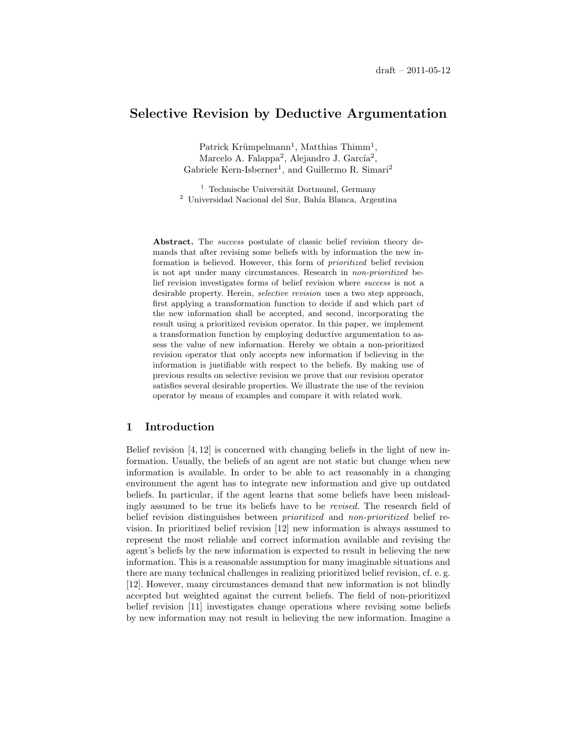# Selective Revision by Deductive Argumentation

Patrick Krümpelmann<sup>1</sup>, Matthias Thimm<sup>1</sup>, Marcelo A. Falappa<sup>2</sup>, Alejandro J. García<sup>2</sup>, Gabriele Kern-Isberner<sup>1</sup>, and Guillermo R. Simari<sup>2</sup>

 $1$  Technische Universität Dortmund, Germany <sup>2</sup> Universidad Nacional del Sur, Bahía Blanca, Argentina

Abstract. The *success* postulate of classic belief revision theory demands that after revising some beliefs with by information the new information is believed. However, this form of prioritized belief revision is not apt under many circumstances. Research in non-prioritized belief revision investigates forms of belief revision where success is not a desirable property. Herein, selective revision uses a two step approach, first applying a transformation function to decide if and which part of the new information shall be accepted, and second, incorporating the result using a prioritized revision operator. In this paper, we implement a transformation function by employing deductive argumentation to assess the value of new information. Hereby we obtain a non-prioritized revision operator that only accepts new information if believing in the information is justifiable with respect to the beliefs. By making use of previous results on selective revision we prove that our revision operator satisfies several desirable properties. We illustrate the use of the revision operator by means of examples and compare it with related work.

# 1 Introduction

Belief revision  $[4, 12]$  is concerned with changing beliefs in the light of new information. Usually, the beliefs of an agent are not static but change when new information is available. In order to be able to act reasonably in a changing environment the agent has to integrate new information and give up outdated beliefs. In particular, if the agent learns that some beliefs have been misleadingly assumed to be true its beliefs have to be revised. The research field of belief revision distinguishes between prioritized and non-prioritized belief revision. In prioritized belief revision [12] new information is always assumed to represent the most reliable and correct information available and revising the agent's beliefs by the new information is expected to result in believing the new information. This is a reasonable assumption for many imaginable situations and there are many technical challenges in realizing prioritized belief revision, cf. e. g. [12]. However, many circumstances demand that new information is not blindly accepted but weighted against the current beliefs. The field of non-prioritized belief revision [11] investigates change operations where revising some beliefs by new information may not result in believing the new information. Imagine a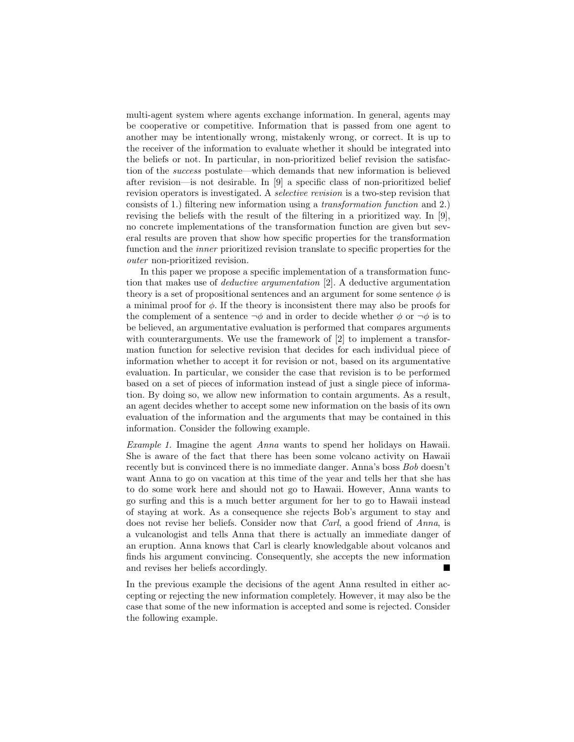multi-agent system where agents exchange information. In general, agents may be cooperative or competitive. Information that is passed from one agent to another may be intentionally wrong, mistakenly wrong, or correct. It is up to the receiver of the information to evaluate whether it should be integrated into the beliefs or not. In particular, in non-prioritized belief revision the satisfaction of the success postulate—which demands that new information is believed after revision—is not desirable. In [9] a specific class of non-prioritized belief revision operators is investigated. A selective revision is a two-step revision that consists of 1.) filtering new information using a transformation function and 2.) revising the beliefs with the result of the filtering in a prioritized way. In [9], no concrete implementations of the transformation function are given but several results are proven that show how specific properties for the transformation function and the *inner* prioritized revision translate to specific properties for the outer non-prioritized revision.

In this paper we propose a specific implementation of a transformation function that makes use of deductive argumentation [2]. A deductive argumentation theory is a set of propositional sentences and an argument for some sentence  $\phi$  is a minimal proof for  $\phi$ . If the theory is inconsistent there may also be proofs for the complement of a sentence  $\neg \phi$  and in order to decide whether  $\phi$  or  $\neg \phi$  is to be believed, an argumentative evaluation is performed that compares arguments with counterarguments. We use the framework of [2] to implement a transformation function for selective revision that decides for each individual piece of information whether to accept it for revision or not, based on its argumentative evaluation. In particular, we consider the case that revision is to be performed based on a set of pieces of information instead of just a single piece of information. By doing so, we allow new information to contain arguments. As a result, an agent decides whether to accept some new information on the basis of its own evaluation of the information and the arguments that may be contained in this information. Consider the following example.

Example 1. Imagine the agent Anna wants to spend her holidays on Hawaii. She is aware of the fact that there has been some volcano activity on Hawaii recently but is convinced there is no immediate danger. Anna's boss Bob doesn't want Anna to go on vacation at this time of the year and tells her that she has to do some work here and should not go to Hawaii. However, Anna wants to go surfing and this is a much better argument for her to go to Hawaii instead of staying at work. As a consequence she rejects Bob's argument to stay and does not revise her beliefs. Consider now that *Carl*, a good friend of *Anna*, is a vulcanologist and tells Anna that there is actually an immediate danger of an eruption. Anna knows that Carl is clearly knowledgable about volcanos and finds his argument convincing. Consequently, she accepts the new information and revises her beliefs accordingly.

In the previous example the decisions of the agent Anna resulted in either accepting or rejecting the new information completely. However, it may also be the case that some of the new information is accepted and some is rejected. Consider the following example.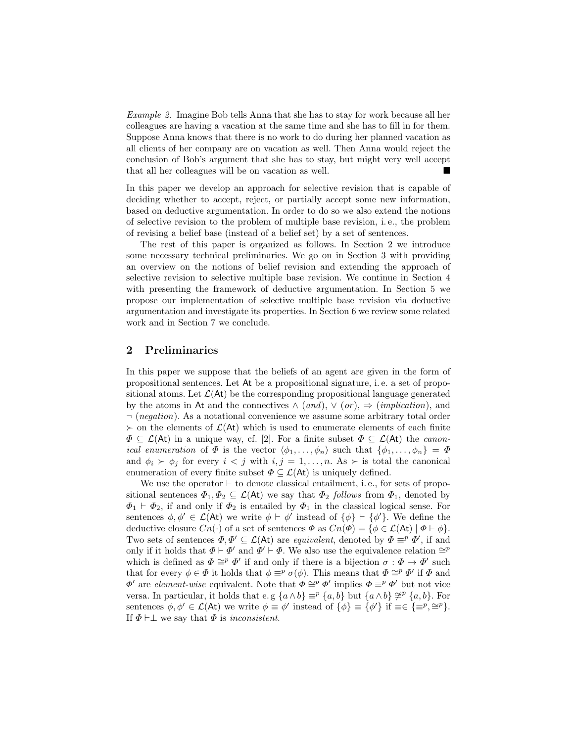Example 2. Imagine Bob tells Anna that she has to stay for work because all her colleagues are having a vacation at the same time and she has to fill in for them. Suppose Anna knows that there is no work to do during her planned vacation as all clients of her company are on vacation as well. Then Anna would reject the conclusion of Bob's argument that she has to stay, but might very well accept that all her colleagues will be on vacation as well.

In this paper we develop an approach for selective revision that is capable of deciding whether to accept, reject, or partially accept some new information, based on deductive argumentation. In order to do so we also extend the notions of selective revision to the problem of multiple base revision, i. e., the problem of revising a belief base (instead of a belief set) by a set of sentences.

The rest of this paper is organized as follows. In Section 2 we introduce some necessary technical preliminaries. We go on in Section 3 with providing an overview on the notions of belief revision and extending the approach of selective revision to selective multiple base revision. We continue in Section 4 with presenting the framework of deductive argumentation. In Section 5 we propose our implementation of selective multiple base revision via deductive argumentation and investigate its properties. In Section 6 we review some related work and in Section 7 we conclude.

#### 2 Preliminaries

In this paper we suppose that the beliefs of an agent are given in the form of propositional sentences. Let At be a propositional signature, i. e. a set of propositional atoms. Let  $\mathcal{L}(\mathsf{At})$  be the corresponding propositional language generated by the atoms in At and the connectives  $\wedge$  (and),  $\vee$  (or),  $\Rightarrow$  (implication), and  $\neg$  (*negation*). As a notational convenience we assume some arbitrary total order  $\geq$  on the elements of  $\mathcal{L}(A_t)$  which is used to enumerate elements of each finite  $\Phi \subset \mathcal{L}(A_t)$  in a unique way, cf. [2]. For a finite subset  $\Phi \subset \mathcal{L}(A_t)$  the canon*ical enumeration* of  $\Phi$  is the vector  $\langle \phi_1, \ldots, \phi_n \rangle$  such that  $\{\phi_1, \ldots, \phi_n\} = \Phi$ and  $\phi_i \succ \phi_j$  for every  $i < j$  with  $i, j = 1, ..., n$ . As  $\succ$  is total the canonical enumeration of every finite subset  $\Phi \subseteq \mathcal{L}(A_t)$  is uniquely defined.

We use the operator  $\vdash$  to denote classical entailment, i.e., for sets of propositional sentences  $\Phi_1, \Phi_2 \subseteq \mathcal{L}(\mathsf{At})$  we say that  $\Phi_2$  follows from  $\Phi_1$ , denoted by  $\Phi_1 \vdash \Phi_2$ , if and only if  $\Phi_2$  is entailed by  $\Phi_1$  in the classical logical sense. For sentences  $\phi, \phi' \in \mathcal{L}(\mathsf{At})$  we write  $\phi \vdash \phi'$  instead of  $\{\phi\} \vdash \{\phi'\}.$  We define the deductive closure  $Cn(\cdot)$  of a set of sentences  $\Phi$  as  $Cn(\Phi) = {\phi \in \mathcal{L}(At) | \Phi \vdash \phi}.$ Two sets of sentences  $\Phi, \Phi' \subseteq \mathcal{L}(\mathsf{At})$  are equivalent, denoted by  $\Phi \equiv^p \Phi'$ , if and only if it holds that  $\Phi \vdash \Phi'$  and  $\Phi' \vdash \Phi$ . We also use the equivalence relation  $\cong^p$ which is defined as  $\Phi \cong^p \Phi'$  if and only if there is a bijection  $\sigma : \Phi \to \Phi'$  such that for every  $\phi \in \Phi$  it holds that  $\phi \equiv^p \sigma(\phi)$ . This means that  $\Phi \cong^p \Phi'$  if  $\Phi$  and  $\Phi'$  are *element-wise* equivalent. Note that  $\Phi \cong^p \Phi'$  implies  $\Phi \equiv^p \Phi'$  but not vice versa. In particular, it holds that e. g  $\{a \wedge b\} \equiv^p \{a, b\}$  but  $\{a \wedge b\} \not\cong^p \{a, b\}$ . For sentences  $\phi, \phi' \in \mathcal{L}(\mathsf{At})$  we write  $\phi \equiv \phi'$  instead of  $\{\phi\} \equiv \{\phi'\}$  if  $\equiv \in \{\equiv^p, \cong^p\}.$ If  $\Phi \vdash \bot$  we say that  $\Phi$  is inconsistent.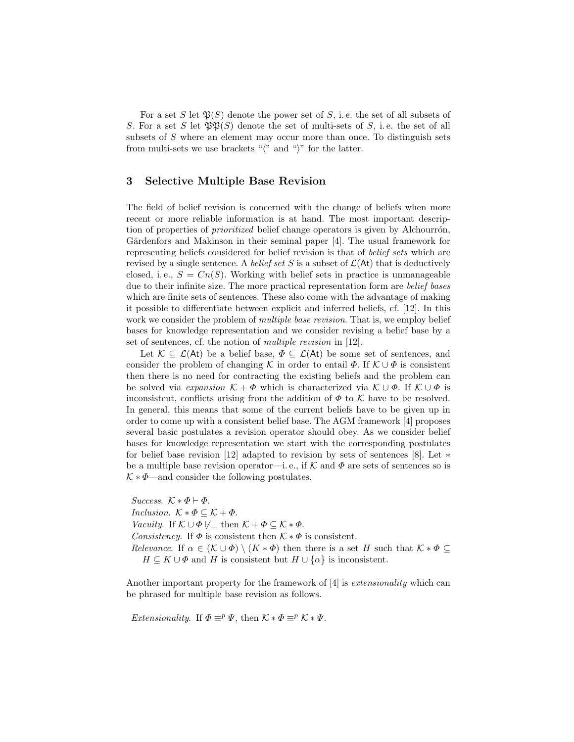For a set S let  $\mathfrak{P}(S)$  denote the power set of S, i.e. the set of all subsets of S. For a set S let  $\mathfrak{PP}(S)$  denote the set of multi-sets of S, i.e. the set of all subsets of S where an element may occur more than once. To distinguish sets from multi-sets we use brackets " $\langle$ " and " $\rangle$ " for the latter.

### 3 Selective Multiple Base Revision

The field of belief revision is concerned with the change of beliefs when more recent or more reliable information is at hand. The most important description of properties of *prioritized* belief change operators is given by Alchourron, Gärdenfors and Makinson in their seminal paper [4]. The usual framework for representing beliefs considered for belief revision is that of belief sets which are revised by a single sentence. A *belief set* S is a subset of  $\mathcal{L}(\mathsf{At})$  that is deductively closed, i.e.,  $S = Cn(S)$ . Working with belief sets in practice is unmanageable due to their infinite size. The more practical representation form are *belief bases* which are finite sets of sentences. These also come with the advantage of making it possible to differentiate between explicit and inferred beliefs, cf. [12]. In this work we consider the problem of *multiple base revision*. That is, we employ belief bases for knowledge representation and we consider revising a belief base by a set of sentences, cf. the notion of multiple revision in [12].

Let  $\mathcal{K} \subseteq \mathcal{L}(A_t)$  be a belief base,  $\Phi \subseteq \mathcal{L}(A_t)$  be some set of sentences, and consider the problem of changing K in order to entail  $\Phi$ . If  $\mathcal{K} \cup \Phi$  is consistent then there is no need for contracting the existing beliefs and the problem can be solved via *expansion*  $\mathcal{K} + \Phi$  which is characterized via  $\mathcal{K} \cup \Phi$ . If  $\mathcal{K} \cup \Phi$  is inconsistent, conflicts arising from the addition of  $\Phi$  to K have to be resolved. In general, this means that some of the current beliefs have to be given up in order to come up with a consistent belief base. The AGM framework [4] proposes several basic postulates a revision operator should obey. As we consider belief bases for knowledge representation we start with the corresponding postulates for belief base revision [12] adapted to revision by sets of sentences [8]. Let ∗ be a multiple base revision operator—i. e., if  $K$  and  $\Phi$  are sets of sentences so is  $\mathcal{K} * \Phi$ —and consider the following postulates.

Success.  $\mathcal{K} * \Phi \vdash \Phi$ . *Inclusion.*  $\mathcal{K} * \Phi \subseteq \mathcal{K} + \Phi$ . *Vacuity.* If  $\mathcal{K} \cup \Phi \not\vdash \bot$  then  $\mathcal{K} + \Phi \subseteq \mathcal{K} * \Phi$ . Consistency. If  $\Phi$  is consistent then  $\mathcal{K} * \Phi$  is consistent. Relevance. If  $\alpha \in (\mathcal{K} \cup \Phi) \setminus (K * \Phi)$  then there is a set H such that  $\mathcal{K} * \Phi \subset$  $H \subseteq K \cup \Phi$  and H is consistent but  $H \cup {\alpha}$  is inconsistent.

Another important property for the framework of [4] is *extensionality* which can be phrased for multiple base revision as follows.

*Extensionality.* If  $\Phi \equiv^p \Psi$ , then  $\mathcal{K} * \Phi \equiv^p \mathcal{K} * \Psi$ .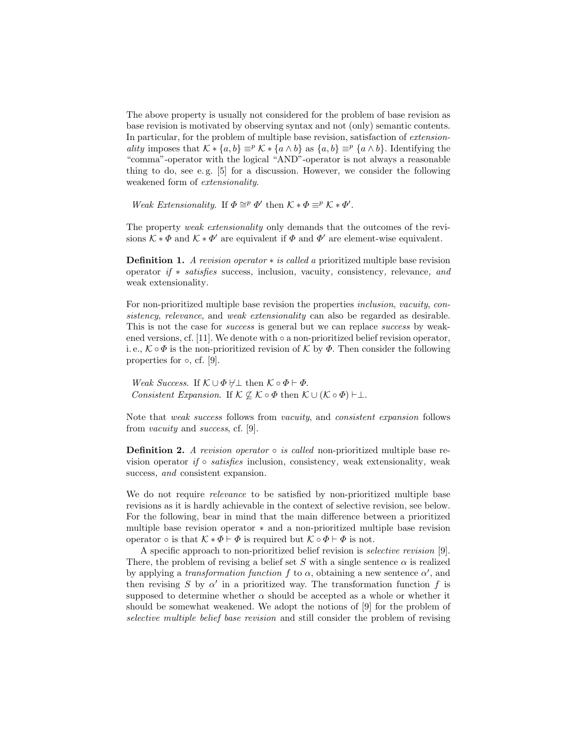The above property is usually not considered for the problem of base revision as base revision is motivated by observing syntax and not (only) semantic contents. In particular, for the problem of multiple base revision, satisfaction of extensionality imposes that  $\mathcal{K} * \{a, b\} \equiv^p \mathcal{K} * \{a \wedge b\}$  as  $\{a, b\} \equiv^p \{a \wedge b\}$ . Identifying the "comma"-operator with the logical "AND"-operator is not always a reasonable thing to do, see e. g. [5] for a discussion. However, we consider the following weakened form of extensionality.

Weak Extensionality. If  $\Phi \cong^p \Phi'$  then  $\mathcal{K} * \Phi \equiv^p \mathcal{K} * \Phi'$ .

The property weak extensionality only demands that the outcomes of the revisions  $\mathcal{K} * \Phi$  and  $\mathcal{K} * \Phi'$  are equivalent if  $\Phi$  and  $\Phi'$  are element-wise equivalent.

**Definition 1.** A revision operator  $*$  is called a prioritized multiple base revision operator if ∗ satisfies success, inclusion, vacuity, consistency, relevance, and weak extensionality.

For non-prioritized multiple base revision the properties *inclusion*, *vacuity*, *con*sistency, relevance, and weak extensionality can also be regarded as desirable. This is not the case for *success* is general but we can replace *success* by weakened versions, cf. [11]. We denote with  $\circ$  a non-prioritized belief revision operator, i. e.,  $\mathcal{K} \circ \Phi$  is the non-prioritized revision of  $\mathcal{K}$  by  $\Phi$ . Then consider the following properties for  $\circ$ , cf. [9].

*Weak Success.* If  $K \cup \Phi \not\vdash \bot$  then  $K \circ \Phi \vdash \Phi$ . Consistent Expansion. If  $K \not\subseteq K \circ \Phi$  then  $K \cup (K \circ \Phi) \vdash \perp$ .

Note that weak success follows from vacuity, and consistent expansion follows from vacuity and success, cf. [9].

**Definition 2.** A revision operator  $\circ$  is called non-prioritized multiple base revision operator if  $\circ$  satisfies inclusion, consistency, weak extensionality, weak success, and consistent expansion.

We do not require *relevance* to be satisfied by non-prioritized multiple base revisions as it is hardly achievable in the context of selective revision, see below. For the following, bear in mind that the main difference between a prioritized multiple base revision operator ∗ and a non-prioritized multiple base revision operator  $\circ$  is that  $\mathcal{K} * \Phi \vdash \Phi$  is required but  $\mathcal{K} \circ \Phi \vdash \Phi$  is not.

A specific approach to non-prioritized belief revision is selective revision [9]. There, the problem of revising a belief set S with a single sentence  $\alpha$  is realized by applying a *transformation function* f to  $\alpha$ , obtaining a new sentence  $\alpha'$ , and then revising S by  $\alpha'$  in a prioritized way. The transformation function f is supposed to determine whether  $\alpha$  should be accepted as a whole or whether it should be somewhat weakened. We adopt the notions of [9] for the problem of selective multiple belief base revision and still consider the problem of revising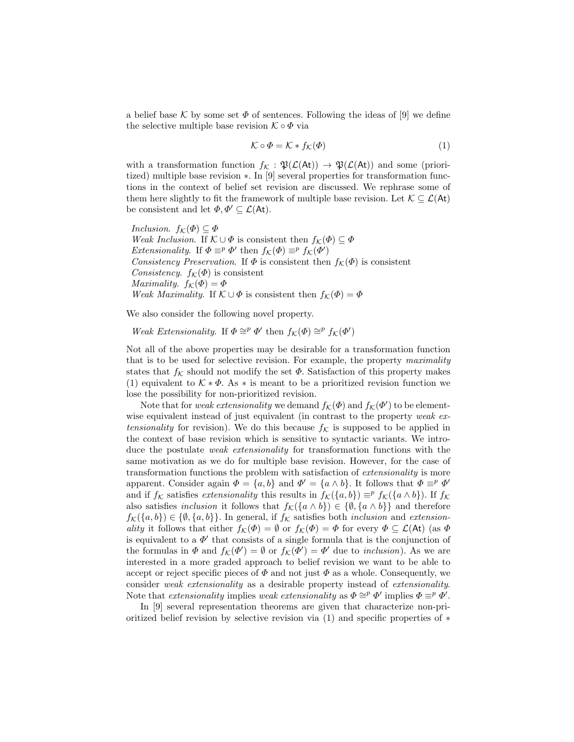a belief base K by some set  $\Phi$  of sentences. Following the ideas of [9] we define the selective multiple base revision  $\mathcal{K} \circ \Phi$  via

$$
\mathcal{K} \circ \Phi = \mathcal{K} * f_{\mathcal{K}}(\Phi) \tag{1}
$$

with a transformation function  $f_{\mathcal{K}} : \mathfrak{P}(\mathcal{L}(At)) \to \mathfrak{P}(\mathcal{L}(At))$  and some (prioritized) multiple base revision ∗. In [9] several properties for transformation functions in the context of belief set revision are discussed. We rephrase some of them here slightly to fit the framework of multiple base revision. Let  $\mathcal{K} \subseteq \mathcal{L}(A_t)$ be consistent and let  $\Phi, \Phi' \subseteq \mathcal{L}(At)$ .

Inclusion.  $f_{\mathcal{K}}(\Phi) \subseteq \Phi$ Weak Inclusion. If  $\mathcal{K} \cup \Phi$  is consistent then  $f_{\mathcal{K}}(\Phi) \subseteq \Phi$ *Extensionality.* If  $\Phi \equiv^p \Phi'$  then  $f_{\mathcal{K}}(\Phi) \equiv^p f_{\mathcal{K}}(\Phi')$ Consistency Preservation. If  $\Phi$  is consistent then  $f_{\mathcal{K}}(\Phi)$  is consistent Consistency.  $f_{\mathcal{K}}(\Phi)$  is consistent Maximality.  $f_{\mathcal{K}}(\Phi) = \Phi$ Weak Maximality. If  $\mathcal{K} \cup \Phi$  is consistent then  $f_{\mathcal{K}}(\Phi) = \Phi$ 

We also consider the following novel property.

Weak Extensionality. If  $\Phi \cong^p \Phi'$  then  $f_{\mathcal{K}}(\Phi) \cong^p f_{\mathcal{K}}(\Phi')$ 

Not all of the above properties may be desirable for a transformation function that is to be used for selective revision. For example, the property maximality states that  $f_K$  should not modify the set  $\Phi$ . Satisfaction of this property makes (1) equivalent to  $\mathcal{K} * \Phi$ . As  $*$  is meant to be a prioritized revision function we lose the possibility for non-prioritized revision.

Note that for *weak extensionality* we demand  $f_{\mathcal{K}}(\Phi)$  and  $f_{\mathcal{K}}(\Phi')$  to be elementwise equivalent instead of just equivalent (in contrast to the property weak extensionality for revision). We do this because  $f<sub>K</sub>$  is supposed to be applied in the context of base revision which is sensitive to syntactic variants. We introduce the postulate weak extensionality for transformation functions with the same motivation as we do for multiple base revision. However, for the case of transformation functions the problem with satisfaction of extensionality is more apparent. Consider again  $\Phi = \{a, b\}$  and  $\Phi' = \{a \wedge b\}$ . It follows that  $\Phi \equiv^p \Phi'$ and if  $f_K$  satisfies *extensionality* this results in  $f_K({a,b}) \equiv^p f_K({a \wedge b})$ . If  $f_K$ also satisfies inclusion it follows that  $f_{\mathcal{K}}(\{a \wedge b\}) \in \{\emptyset, \{a \wedge b\}\}\$ and therefore  $f_{\mathcal{K}}(\{a,b\}) \in \{\emptyset, \{a,b\}\}.$  In general, if  $f_{\mathcal{K}}$  satisfies both *inclusion* and *extension*ality it follows that either  $f_{\mathcal{K}}(\Phi) = \emptyset$  or  $f_{\mathcal{K}}(\Phi) = \Phi$  for every  $\Phi \subseteq \mathcal{L}(\mathsf{At})$  (as  $\Phi$ is equivalent to a  $\Phi'$  that consists of a single formula that is the conjunction of the formulas in  $\Phi$  and  $f_{\mathcal{K}}(\Phi') = \emptyset$  or  $f_{\mathcal{K}}(\Phi') = \Phi'$  due to *inclusion*). As we are interested in a more graded approach to belief revision we want to be able to accept or reject specific pieces of  $\Phi$  and not just  $\Phi$  as a whole. Consequently, we consider weak extensionality as a desirable property instead of extensionality. Note that extensionality implies weak extensionality as  $\Phi \cong^p \Phi'$  implies  $\Phi \equiv^p \Phi'$ .

In [9] several representation theorems are given that characterize non-prioritized belief revision by selective revision via (1) and specific properties of ∗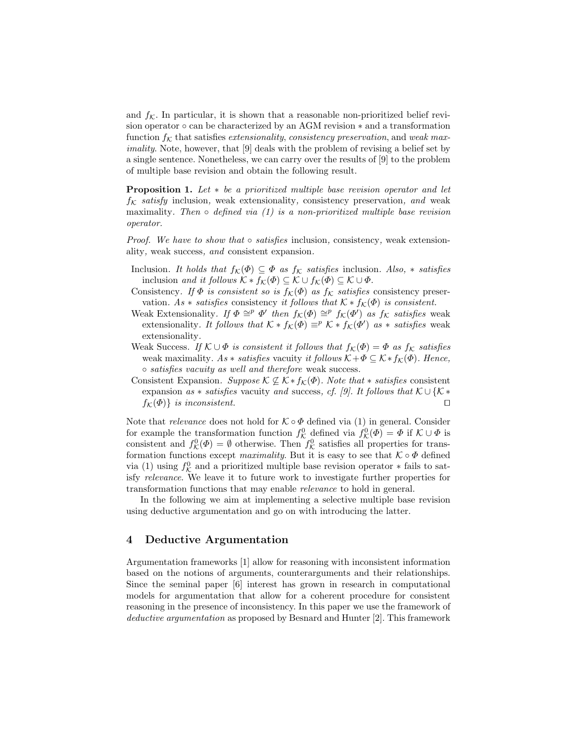and  $f_{\mathcal{K}}$ . In particular, it is shown that a reasonable non-prioritized belief revision operator ◦ can be characterized by an AGM revision ∗ and a transformation function  $f_K$  that satisfies extensionality, consistency preservation, and weak maximality. Note, however, that [9] deals with the problem of revising a belief set by a single sentence. Nonetheless, we can carry over the results of [9] to the problem of multiple base revision and obtain the following result.

Proposition 1. Let ∗ be a prioritized multiple base revision operator and let  $f_{\mathcal{K}}$  satisfy inclusion, weak extensionality, consistency preservation, and weak maximality. Then  $\circ$  defined via (1) is a non-prioritized multiple base revision operator.

*Proof.* We have to show that  $\circ$  satisfies inclusion, consistency, weak extensionality, weak success, and consistent expansion.

- Inclusion. It holds that  $f_K(\Phi) \subseteq \Phi$  as  $f_K$  satisfies inclusion. Also,  $*$  satisfies inclusion and it follows  $\mathcal{K} * f_{\mathcal{K}}(\Phi) \subseteq \mathcal{K} \cup f_{\mathcal{K}}(\Phi) \subseteq \mathcal{K} \cup \Phi$ .
- Consistency. If  $\Phi$  is consistent so is  $f_{\mathcal{K}}(\Phi)$  as  $f_{\mathcal{K}}$  satisfies consistency preservation. As  $*$  satisfies consistency it follows that  $\mathcal{K} * f_{\mathcal{K}}(\Phi)$  is consistent.
- Weak Extensionality. If  $\Phi \cong^p \Phi'$  then  $f_{\mathcal{K}}(\Phi) \cong^p f_{\mathcal{K}}(\Phi')$  as  $f_{\mathcal{K}}$  satisfies weak extensionality. It follows that  $\mathcal{K} * f_{\mathcal{K}}(\Phi) \equiv^p \mathcal{K} * f_{\mathcal{K}}(\Phi')$  as  $*$  satisfies weak extensionality.
- Weak Success. If  $\mathcal{K} \cup \Phi$  is consistent it follows that  $f_{\mathcal{K}}(\Phi) = \Phi$  as  $f_{\mathcal{K}}$  satisfies weak maximality. As  $*$  satisfies vacuity it follows  $\mathcal{K} + \Phi \subseteq \mathcal{K} * f_{\mathcal{K}}(\Phi)$ . Hence, ◦ satisfies vacuity as well and therefore weak success.
- Consistent Expansion. Suppose  $\mathcal{K} \not\subseteq \mathcal{K} * f_{\mathcal{K}}(\Phi)$ . Note that  $*$  satisfies consistent expansion as  $*$  satisfies vacuity and success, cf. [9]. It follows that  $\mathcal{K} \cup \{ \mathcal{K} *$  $f_{\mathcal{K}}(\Phi)$  is inconsistent.

Note that *relevance* does not hold for  $K \circ \Phi$  defined via (1) in general. Consider for example the transformation function  $f_{\mathcal{K}}^0$  defined via  $f_{\mathcal{K}}^0(\Phi) = \Phi$  if  $\mathcal{K} \cup \Phi$  is consistent and  $f_{\mathcal{K}}^0(\Phi) = \emptyset$  otherwise. Then  $f_{\mathcal{K}}^0$  satisfies all properties for transformation functions except *maximality*. But it is easy to see that  $K \circ \Phi$  defined via (1) using  $f_{\mathcal{K}}^0$  and a prioritized multiple base revision operator  $*$  fails to satisfy relevance. We leave it to future work to investigate further properties for transformation functions that may enable relevance to hold in general.

In the following we aim at implementing a selective multiple base revision using deductive argumentation and go on with introducing the latter.

# 4 Deductive Argumentation

Argumentation frameworks [1] allow for reasoning with inconsistent information based on the notions of arguments, counterarguments and their relationships. Since the seminal paper [6] interest has grown in research in computational models for argumentation that allow for a coherent procedure for consistent reasoning in the presence of inconsistency. In this paper we use the framework of deductive argumentation as proposed by Besnard and Hunter [2]. This framework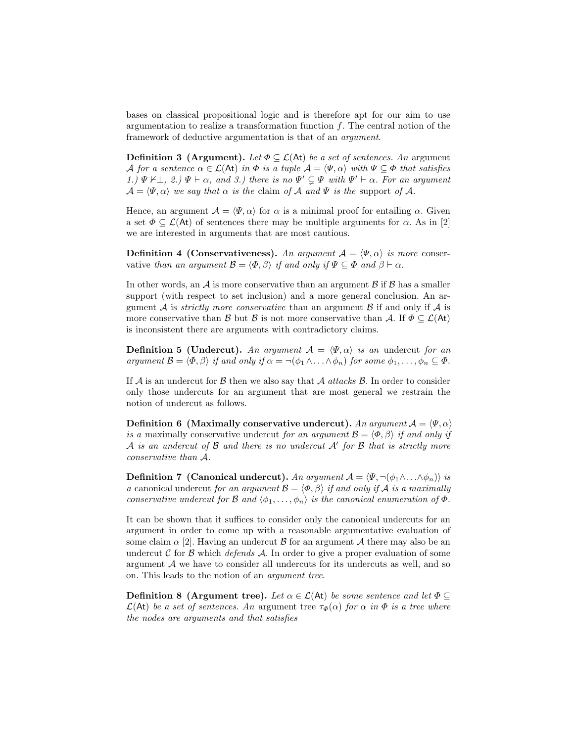bases on classical propositional logic and is therefore apt for our aim to use argumentation to realize a transformation function  $f$ . The central notion of the framework of deductive argumentation is that of an argument.

**Definition 3 (Argument).** Let  $\Phi \subseteq \mathcal{L}(A_t)$  be a set of sentences. An argument A for a sentence  $\alpha \in \mathcal{L}(\mathsf{At})$  in  $\Phi$  is a tuple  $\mathcal{A} = \langle \Psi, \alpha \rangle$  with  $\Psi \subseteq \Phi$  that satisfies 1.)  $\Psi \nvdash \bot$ , 2.)  $\Psi \vdash \alpha$ , and 3.) there is no  $\Psi' \subsetneq \Psi$  with  $\Psi' \vdash \alpha$ . For an argument  $\mathcal{A} = \langle \Psi, \alpha \rangle$  we say that  $\alpha$  is the claim of A and  $\Psi$  is the support of A.

Hence, an argument  $A = \langle \Psi, \alpha \rangle$  for  $\alpha$  is a minimal proof for entailing  $\alpha$ . Given a set  $\Phi \subseteq \mathcal{L}(A_t)$  of sentences there may be multiple arguments for  $\alpha$ . As in [2] we are interested in arguments that are most cautious.

**Definition 4 (Conservativeness).** An argument  $\mathcal{A} = \langle \Psi, \alpha \rangle$  is more conservative than an argument  $\mathcal{B} = \langle \Phi, \beta \rangle$  if and only if  $\Psi \subset \Phi$  and  $\beta \vdash \alpha$ .

In other words, an  $A$  is more conservative than an argument  $B$  if  $B$  has a smaller support (with respect to set inclusion) and a more general conclusion. An argument  $A$  is *strictly more conservative* than an argument  $B$  if and only if  $A$  is more conservative than B but B is not more conservative than A. If  $\Phi \subseteq \mathcal{L}(A_t)$ is inconsistent there are arguments with contradictory claims.

**Definition 5 (Undercut).** An argument  $A = \langle \Psi, \alpha \rangle$  is an undercut for an argument  $\mathcal{B} = \langle \Phi, \beta \rangle$  if and only if  $\alpha = \neg(\phi_1 \wedge \ldots \wedge \phi_n)$  for some  $\phi_1, \ldots, \phi_n \subseteq \Phi$ .

If A is an undercut for B then we also say that A attacks B. In order to consider only those undercuts for an argument that are most general we restrain the notion of undercut as follows.

**Definition 6** (Maximally conservative undercut). An argument  $A = \langle \Psi, \alpha \rangle$ is a maximally conservative undercut for an argument  $\mathcal{B} = \langle \Phi, \beta \rangle$  if and only if  $\mathcal A$  is an undercut of  $\mathcal B$  and there is no undercut  $\mathcal A'$  for  $\mathcal B$  that is strictly more conservative than A.

**Definition 7** (Canonical undercut). An argument  $A = \langle \Psi, \neg(\phi_1 \wedge \ldots \wedge \phi_n) \rangle$  is a canonical undercut for an argument  $\mathcal{B} = \langle \Phi, \beta \rangle$  if and only if A is a maximally conservative undercut for B and  $\langle \phi_1, \ldots, \phi_n \rangle$  is the canonical enumeration of  $\Phi$ .

It can be shown that it suffices to consider only the canonical undercuts for an argument in order to come up with a reasonable argumentative evaluation of some claim  $\alpha$  [2]. Having an undercut  $\beta$  for an argument  $\mathcal A$  there may also be an undercut C for B which defends  $A$ . In order to give a proper evaluation of some argument  $A$  we have to consider all undercuts for its undercuts as well, and so on. This leads to the notion of an argument tree.

**Definition 8 (Argument tree).** Let  $\alpha \in \mathcal{L}(\mathsf{At})$  be some sentence and let  $\Phi \subset \mathsf{At}$  $\mathcal{L}(\mathsf{At})$  be a set of sentences. An argument tree  $\tau_{\Phi}(\alpha)$  for  $\alpha$  in  $\Phi$  is a tree where the nodes are arguments and that satisfies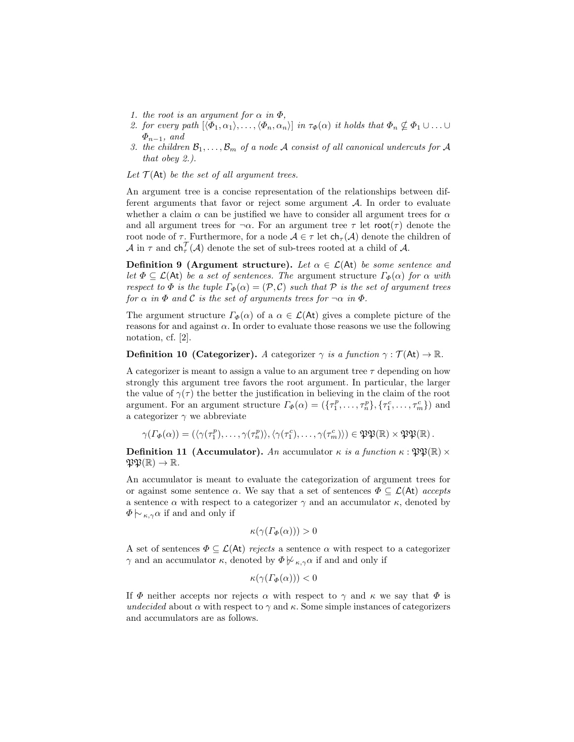- 1. the root is an argument for  $\alpha$  in  $\Phi$ ,
- 2. for every path  $[\langle \Phi_1, \alpha_1 \rangle, \ldots, \langle \Phi_n, \alpha_n \rangle]$  in  $\tau_{\Phi}(\alpha)$  it holds that  $\Phi_n \nsubseteq \Phi_1 \cup \ldots \cup$  $\Phi_{n-1}$ , and
- 3. the children  $\mathcal{B}_1, \ldots, \mathcal{B}_m$  of a node A consist of all canonical undercuts for A that obey 2.).

Let  $\mathcal{T}(\mathsf{At})$  be the set of all argument trees.

An argument tree is a concise representation of the relationships between different arguments that favor or reject some argument  $A$ . In order to evaluate whether a claim  $\alpha$  can be justified we have to consider all argument trees for  $\alpha$ and all argument trees for  $\neg \alpha$ . For an argument tree  $\tau$  let root( $\tau$ ) denote the root node of  $\tau$ . Furthermore, for a node  $A \in \tau$  let  $\mathsf{ch}_{\tau}(A)$  denote the children of A in  $\tau$  and  $\mathsf{ch}^{\mathcal{T}}_{\tau}(\mathcal{A})$  denote the set of sub-trees rooted at a child of  $\mathcal{A}$ .

**Definition 9 (Argument structure).** Let  $\alpha \in \mathcal{L}(A_t)$  be some sentence and let  $\Phi \subseteq \mathcal{L}(\mathsf{At})$  be a set of sentences. The argument structure  $\Gamma_{\Phi}(\alpha)$  for  $\alpha$  with respect to  $\Phi$  is the tuple  $\Gamma_{\Phi}(\alpha) = (\mathcal{P}, \mathcal{C})$  such that  $\mathcal P$  is the set of argument trees for  $\alpha$  in  $\Phi$  and  $\mathcal C$  is the set of arguments trees for  $\neg \alpha$  in  $\Phi$ .

The argument structure  $\Gamma_{\Phi}(\alpha)$  of a  $\alpha \in \mathcal{L}(\mathsf{At})$  gives a complete picture of the reasons for and against  $\alpha$ . In order to evaluate those reasons we use the following notation, cf. [2].

**Definition 10 (Categorizer).** A categorizer  $\gamma$  is a function  $\gamma : \mathcal{T}(\mathsf{At}) \to \mathbb{R}$ .

A categorizer is meant to assign a value to an argument tree  $\tau$  depending on how strongly this argument tree favors the root argument. In particular, the larger the value of  $\gamma(\tau)$  the better the justification in believing in the claim of the root argument. For an argument structure  $\Gamma_{\Phi}(\alpha) = (\{\tau_1^p, \ldots, \tau_n^p\}, \{\tau_1^c, \ldots, \tau_m^c\})$  and a categorizer  $\gamma$  we abbreviate

$$
\gamma(\Gamma_{\Phi}(\alpha)) = (\langle \gamma(\tau_1^p), \ldots, \gamma(\tau_n^p) \rangle, \langle \gamma(\tau_1^c), \ldots, \gamma(\tau_m^c) \rangle) \in \mathfrak{PP}(\mathbb{R}) \times \mathfrak{PP}(\mathbb{R}).
$$

**Definition 11 (Accumulator).** An accumulator  $\kappa$  is a function  $\kappa : \mathfrak{PP}(\mathbb{R}) \times$  $\mathfrak{PP}(\mathbb{R}) \to \mathbb{R}$ .

An accumulator is meant to evaluate the categorization of argument trees for or against some sentence  $\alpha$ . We say that a set of sentences  $\Phi \subset \mathcal{L}(A_t)$  accepts a sentence  $\alpha$  with respect to a categorizer  $\gamma$  and an accumulator  $\kappa$ , denoted by  $\Phi \sim_{\kappa,\gamma} \alpha$  if and and only if

$$
\kappa(\gamma(\varGamma_\varPhi(\alpha)))>0
$$

A set of sentences  $\Phi \subseteq \mathcal{L}(A_t)$  rejects a sentence  $\alpha$  with respect to a categorizer γ and an accumulator κ, denoted by  $\Phi \not\models \kappa, \gamma \alpha$  if and and only if

$$
\kappa(\gamma(\varGamma_\Phi(\alpha))) < 0
$$

If  $\Phi$  neither accepts nor rejects  $\alpha$  with respect to  $\gamma$  and  $\kappa$  we say that  $\Phi$  is undecided about  $\alpha$  with respect to  $\gamma$  and  $\kappa$ . Some simple instances of categorizers and accumulators are as follows.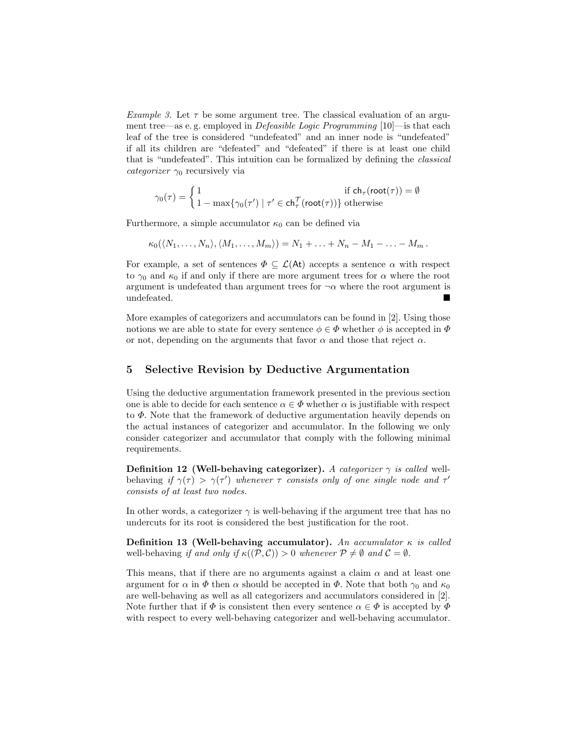*Example 3.* Let  $\tau$  be some argument tree. The classical evaluation of an argument tree—as e.g. employed in *Defeasible Logic Programming* [10]—is that each leaf of the tree is considered "undefeated" and an inner node is "undefeated" if all its children are "defeated" and "defeated" if there is at least one child that is "undefeated". This intuition can be formalized by defining the classical categorizer  $\gamma_0$  recursively via

$$
\gamma_0(\tau) = \begin{cases} 1 & \text{if } \mathsf{ch}_\tau(\mathsf{root}(\tau)) = \emptyset \\ 1 - \max\{\gamma_0(\tau') \mid \tau' \in \mathsf{ch}_\tau^\mathcal{T}(\mathsf{root}(\tau))\} \text{ otherwise} \end{cases}
$$

Furthermore, a simple accumulator  $\kappa_0$  can be defined via

 $\kappa_0(\langle N_1, \ldots, N_n \rangle, \langle M_1, \ldots, M_m \rangle) = N_1 + \ldots + N_n - M_1 - \ldots - M_m$ .

For example, a set of sentences  $\Phi \subseteq \mathcal{L}(A_t)$  accepts a sentence  $\alpha$  with respect to  $\gamma_0$  and  $\kappa_0$  if and only if there are more argument trees for  $\alpha$  where the root argument is undefeated than argument trees for  $\neg \alpha$  where the root argument is undefeated.

More examples of categorizers and accumulators can be found in [2]. Using those notions we are able to state for every sentence  $\phi \in \Phi$  whether  $\phi$  is accepted in  $\Phi$ or not, depending on the arguments that favor  $\alpha$  and those that reject  $\alpha$ .

#### 5 Selective Revision by Deductive Argumentation

Using the deductive argumentation framework presented in the previous section one is able to decide for each sentence  $\alpha \in \Phi$  whether  $\alpha$  is justifiable with respect to  $\Phi$ . Note that the framework of deductive argumentation heavily depends on the actual instances of categorizer and accumulator. In the following we only consider categorizer and accumulator that comply with the following minimal requirements.

**Definition 12 (Well-behaving categorizer).** A categorizer  $\gamma$  is called wellbehaving if  $\gamma(\tau) > \gamma(\tau')$  whenever  $\tau$  consists only of one single node and  $\tau'$ consists of at least two nodes.

In other words, a categorizer  $\gamma$  is well-behaving if the argument tree that has no undercuts for its root is considered the best justification for the root.

Definition 13 (Well-behaving accumulator). An accumulator  $\kappa$  is called well-behaving if and only if  $\kappa((\mathcal{P}, \mathcal{C})) > 0$  whenever  $\mathcal{P} \neq \emptyset$  and  $\mathcal{C} = \emptyset$ .

This means, that if there are no arguments against a claim  $\alpha$  and at least one argument for  $\alpha$  in  $\Phi$  then  $\alpha$  should be accepted in  $\Phi$ . Note that both  $\gamma_0$  and  $\kappa_0$ are well-behaving as well as all categorizers and accumulators considered in [2]. Note further that if  $\Phi$  is consistent then every sentence  $\alpha \in \Phi$  is accepted by  $\Phi$ with respect to every well-behaving categorizer and well-behaving accumulator.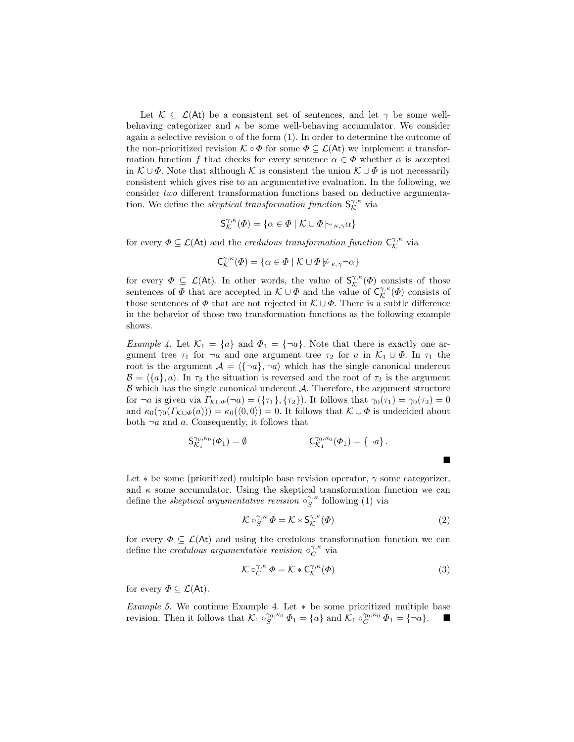Let  $\mathcal{K} \subseteq \mathcal{L}(\mathsf{At})$  be a consistent set of sentences, and let  $\gamma$  be some wellbehaving categorizer and  $\kappa$  be some well-behaving accumulator. We consider again a selective revision  $\circ$  of the form (1). In order to determine the outcome of the non-prioritized revision  $\mathcal{K} \circ \Phi$  for some  $\Phi \subseteq \mathcal{L}(\mathsf{At})$  we implement a transformation function f that checks for every sentence  $\alpha \in \Phi$  whether  $\alpha$  is accepted in  $\mathcal{K} \cup \Phi$ . Note that although  $\mathcal{K}$  is consistent the union  $\mathcal{K} \cup \Phi$  is not necessarily consistent which gives rise to an argumentative evaluation. In the following, we consider two different transformation functions based on deductive argumentation. We define the *skeptical transformation function*  $S^{\gamma,\kappa}_\mathcal{K}$  via

$$
\mathsf{S}_\mathcal{K}^{\gamma,\kappa}(\varPhi)=\{\alpha\in\varPhi\mid\mathcal{K}\cup\varPhi\hspace{0.03cm}\sim_{\hspace{0.03cm}\kappa,\gamma}\alpha\}
$$

for every  $\Phi \subseteq \mathcal{L}(\mathsf{At})$  and the credulous transformation function  $C^{\gamma,\kappa}_{\mathcal{K}}$  via

$$
\mathsf{C}_\mathcal{K}^{\gamma,\kappa}(\varPhi) = \{\alpha \in \varPhi \mid \mathcal{K} \cup \varPhi \not \models_{\kappa,\gamma} \neg \alpha\}
$$

for every  $\Phi \subseteq \mathcal{L}(A_t)$ . In other words, the value of  $S^{\gamma,\kappa}_\mathcal{K}(\Phi)$  consists of those sentences of  $\Phi$  that are accepted in  $\mathcal{K} \cup \Phi$  and the value of  $C^{\gamma,\kappa}_{\mathcal{K}}(\Phi)$  consists of those sentences of  $\Phi$  that are not rejected in  $\mathcal{K} \cup \Phi$ . There is a subtle difference in the behavior of those two transformation functions as the following example shows.

*Example 4.* Let  $\mathcal{K}_1 = \{a\}$  and  $\Phi_1 = \{\neg a\}$ . Note that there is exactly one argument tree  $\tau_1$  for  $\neg a$  and one argument tree  $\tau_2$  for a in  $\mathcal{K}_1 \cup \Phi$ . In  $\tau_1$  the root is the argument  $A = \langle {\neg a} \rangle$ ,  $\neg a$  which has the single canonical undercut  $\mathcal{B} = \langle \{a\}, a \rangle$ . In  $\tau_2$  the situation is reversed and the root of  $\tau_2$  is the argument  $\beta$  which has the single canonical undercut  $\mathcal{A}$ . Therefore, the argument structure for  $\neg a$  is given via  $\Gamma_{\mathcal{K}\cup\Phi}(\neg a) = (\{\tau_1\},\{\tau_2\})$ . It follows that  $\gamma_0(\tau_1) = \gamma_0(\tau_2) = 0$ and  $\kappa_0(\gamma_0(\Gamma_{\mathcal{K}\cup\Phi}(a))) = \kappa_0(\langle 0, 0\rangle) = 0$ . It follows that  $\mathcal{K}\cup\Phi$  is undecided about both  $\neg a$  and a. Consequently, it follows that

$$
\mathsf{S}_{\mathcal{K}_{1}}^{\gamma_{0},\kappa_{0}}(\varPhi_{1})=\emptyset\qquad \qquad \mathsf{C}_{\mathcal{K}_{1}}^{\gamma_{0},\kappa_{0}}(\varPhi_{1})=\left\{ \neg a\right\} .
$$

Let  $*$  be some (prioritized) multiple base revision operator,  $\gamma$  some categorizer, and  $\kappa$  some accumulator. Using the skeptical transformation function we can define the *skeptical argumentative revision*  $\circ_S^{\gamma,\kappa}$  following (1) via

$$
\mathcal{K} \circ_S^{\gamma,\kappa} \Phi = \mathcal{K} * \mathsf{S}_{\mathcal{K}}^{\gamma,\kappa}(\Phi) \tag{2}
$$

п

for every  $\Phi \subseteq \mathcal{L}(A_t)$  and using the credulous transformation function we can define the *credulous* argumentative revision  $\circ_C^{\gamma,\kappa}$  via

$$
\mathcal{K} \circ_C^{\gamma,\kappa} \Phi = \mathcal{K} * \mathsf{C}^{\gamma,\kappa}_\mathcal{K}(\Phi) \tag{3}
$$

for every  $\Phi \subset \mathcal{L}(At)$ .

Example 5. We continue Example 4. Let ∗ be some prioritized multiple base revision. Then it follows that  $\mathcal{K}_1 \circ_S^{\gamma_0, \kappa_0} \Phi_1 = \{a\}$  and  $\mathcal{K}_1 \circ_C^{\gamma_0, \kappa_0} \Phi_1 = \{\neg a\}.$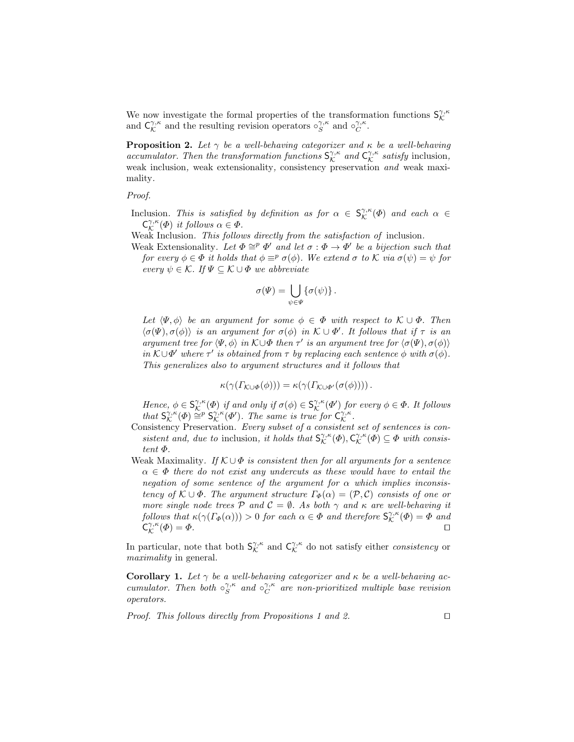We now investigate the formal properties of the transformation functions  $\mathsf{S}_\mathcal{K}^{\gamma,\kappa}$ and  $C_{\mathcal{K}}^{\gamma,\kappa}$  and the resulting revision operators  $\circ_{S}^{\gamma,\kappa}$  and  $\circ_{C}^{\gamma,\kappa}$ .

**Proposition 2.** Let  $\gamma$  be a well-behaving categorizer and  $\kappa$  be a well-behaving accumulator. Then the transformation functions  $S_{\mathcal{K}}^{\gamma,\kappa}$  and  $C_{\mathcal{K}}^{\gamma,\kappa}$  satisfy inclusion, weak inclusion, weak extensionality, consistency preservation and weak maximality.

Proof.

- Inclusion. This is satisfied by definition as for  $\alpha \in S^{\gamma,\kappa}(\Phi)$  and each  $\alpha \in$  $C^{\gamma,\kappa}_{\mathcal{K}}(\Phi)$  it follows  $\alpha \in \Phi$ .
- Weak Inclusion. This follows directly from the satisfaction of inclusion.
- Weak Extensionality. Let  $\Phi \cong^p \Phi'$  and let  $\sigma : \Phi \to \Phi'$  be a bijection such that for every  $\phi \in \Phi$  it holds that  $\phi \equiv^p \sigma(\phi)$ . We extend  $\sigma$  to K via  $\sigma(\psi) = \psi$  for every  $\psi \in \mathcal{K}$ . If  $\Psi \subseteq \mathcal{K} \cup \Phi$  we abbreviate

$$
\sigma(\Psi) = \bigcup_{\psi \in \Psi} \{ \sigma(\psi) \}.
$$

Let  $\langle \Psi, \phi \rangle$  be an argument for some  $\phi \in \Phi$  with respect to K ∪  $\Phi$ . Then  $\langle \sigma(\Psi), \sigma(\phi) \rangle$  is an argument for  $\sigma(\phi)$  in  $\mathcal{K} \cup \Phi'$ . It follows that if  $\tau$  is an argument tree for  $\langle \Psi, \phi \rangle$  in  $\mathcal{K} \cup \Phi$  then  $\tau'$  is an argument tree for  $\langle \sigma(\Psi), \sigma(\phi) \rangle$ in  $\mathcal{K} \cup \Phi'$  where  $\tau'$  is obtained from  $\tau$  by replacing each sentence  $\phi$  with  $\sigma(\phi)$ . This generalizes also to argument structures and it follows that

$$
\kappa(\gamma(\Gamma_{\mathcal{K}\cup\Phi}(\phi)))=\kappa(\gamma(\Gamma_{\mathcal{K}\cup\Phi'}(\sigma(\phi))))\,.
$$

Hence,  $\phi \in \mathsf{S}_{\mathcal{K}}^{\gamma,\kappa}(\Phi)$  if and only if  $\sigma(\phi) \in \mathsf{S}_{\mathcal{K}}^{\gamma,\kappa}(\Phi')$  for every  $\phi \in \Phi$ . It follows that  $S_{\mathcal{K}}^{\gamma,\kappa}(\Phi) \stackrel{\sim}{\cong} S_{\mathcal{K}}^{\gamma,\kappa}(\Phi')$ . The same is true for  $C_{\mathcal{K}}^{\gamma,\kappa}$ .

- Consistency Preservation. Every subset of a consistent set of sentences is consistent and, due to inclusion, it holds that  $S^{\gamma,\kappa}_{\mathcal{K}}(\Phi), C^{\gamma,\kappa}_{\mathcal{K}}(\Phi) \subseteq \Phi$  with consistent Φ.
- Weak Maximality. If  $\mathcal{K} \cup \Phi$  is consistent then for all arguments for a sentence  $\alpha \in \Phi$  there do not exist any undercuts as these would have to entail the negation of some sentence of the argument for  $\alpha$  which implies inconsistency of  $\mathcal{K} \cup \Phi$ . The argument structure  $\Gamma_{\Phi}(\alpha) = (\mathcal{P}, \mathcal{C})$  consists of one or more single node trees P and  $C = \emptyset$ . As both  $\gamma$  and  $\kappa$  are well-behaving it follows that  $\kappa(\gamma(\Gamma_{\Phi}(\alpha))) > 0$  for each  $\alpha \in \Phi$  and therefore  $S^{\gamma,\kappa}_{\mathcal{K}}(\Phi) = \Phi$  and  $\mathsf{C}_\mathcal{K}^{\gamma,\kappa}(\varPhi)=\varPhi.$

In particular, note that both  $\mathsf{S}_{\mathcal{K}}^{\gamma,\kappa}$  and  $\mathsf{C}_{\mathcal{K}}^{\gamma,\kappa}$  do not satisfy either *consistency* or maximality in general.

Corollary 1. Let  $\gamma$  be a well-behaving categorizer and  $\kappa$  be a well-behaving accumulator. Then both  $\circ_{S}^{\gamma,\kappa}$  and  $\circ_{C}^{\gamma,\kappa}$  are non-prioritized multiple base revision operators.

Proof. This follows directly from Propositions 1 and 2.  $\Box$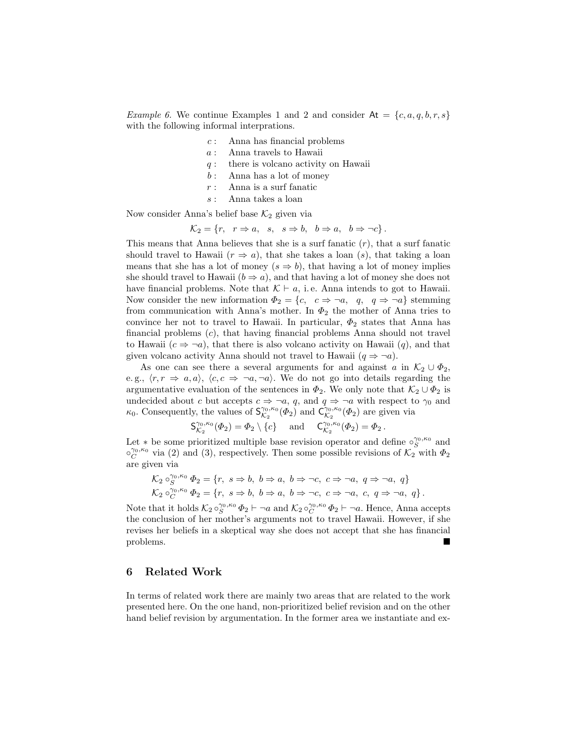*Example 6.* We continue Examples 1 and 2 and consider  $At = \{c, a, q, b, r, s\}$ with the following informal interprations.

- $c$ : Anna has financial problems
- a : Anna travels to Hawaii
- $q:$  there is volcano activity on Hawaii
- $b$ : Anna has a lot of money
- $r:$  Anna is a surf fanatic
- $s$ : Anna takes a loan

Now consider Anna's belief base  $\mathcal{K}_2$  given via

$$
\mathcal{K}_2 = \{r, r \Rightarrow a, s, s \Rightarrow b, b \Rightarrow a, b \Rightarrow \neg c\}.
$$

This means that Anna believes that she is a surf fanatic  $(r)$ , that a surf fanatic should travel to Hawaii  $(r \Rightarrow a)$ , that she takes a loan  $(s)$ , that taking a loan means that she has a lot of money  $(s \Rightarrow b)$ , that having a lot of money implies she should travel to Hawaii  $(b \Rightarrow a)$ , and that having a lot of money she does not have financial problems. Note that  $\mathcal{K} \vdash a$ , i.e. Anna intends to got to Hawaii. Now consider the new information  $\Phi_2 = \{c, c \Rightarrow \neg a, q, \phi \Rightarrow \neg a\}$  stemming from communication with Anna's mother. In  $\Phi_2$  the mother of Anna tries to convince her not to travel to Hawaii. In particular,  $\Phi_2$  states that Anna has financial problems (c), that having financial problems Anna should not travel to Hawaii  $(c \Rightarrow \neg a)$ , that there is also volcano activity on Hawaii  $(q)$ , and that given volcano activity Anna should not travel to Hawaii  $(q \Rightarrow \neg a)$ .

As one can see there a several arguments for and against a in  $\mathcal{K}_2 \cup \Phi_2$ , e.g.,  $\langle r, r \Rightarrow a, a \rangle$ ,  $\langle c, c \Rightarrow \neg a, \neg a \rangle$ . We do not go into details regarding the argumentative evaluation of the sentences in  $\Phi_2$ . We only note that  $\mathcal{K}_2 \cup \Phi_2$  is undecided about c but accepts  $c \Rightarrow \neg a$ , q, and  $q \Rightarrow \neg a$  with respect to  $\gamma_0$  and  $\kappa_0$ . Consequently, the values of  $\mathsf{S}_{\mathcal{K}_2}^{\gamma_0,\kappa_0}(\Phi_2)$  and  $\mathsf{C}_{\mathcal{K}_2}^{\gamma_0,\kappa_0}(\Phi_2)$  are given via

$$
\mathsf{S}_{\mathcal{K}_2}^{\gamma_0,\kappa_0}(\Phi_2) = \Phi_2 \setminus \{c\} \quad \text{ and } \quad \mathsf{C}_{\mathcal{K}_2}^{\gamma_0,\kappa_0}(\Phi_2) = \Phi_2.
$$

Let  $*$  be some prioritized multiple base revision operator and define  $\circ_S^{\gamma_0,\kappa_0}$  and  $\circ_C^{\gamma_0,\kappa_0}$  via (2) and (3), respectively. Then some possible revisions of  $\mathcal{K}_2$  with  $\Phi_2$ are given via

$$
\mathcal{K}_2 \circ_S^{\gamma_0,\kappa_0} \Phi_2 = \{r, s \Rightarrow b, b \Rightarrow a, b \Rightarrow \neg c, c \Rightarrow \neg a, q \Rightarrow \neg a, q\}
$$
  

$$
\mathcal{K}_2 \circ_C^{\gamma_0,\kappa_0} \Phi_2 = \{r, s \Rightarrow b, b \Rightarrow a, b \Rightarrow \neg c, c \Rightarrow \neg a, c, q \Rightarrow \neg a, q\}.
$$

Note that it holds  $\mathcal{K}_2 \circ_S^{\gamma_0, \kappa_0} \Phi_2 \vdash \neg a$  and  $\mathcal{K}_2 \circ_C^{\gamma_0, \kappa_0} \Phi_2 \vdash \neg a$ . Hence, Anna accepts the conclusion of her mother's arguments not to travel Hawaii. However, if she revises her beliefs in a skeptical way she does not accept that she has financial problems.

# 6 Related Work

In terms of related work there are mainly two areas that are related to the work presented here. On the one hand, non-prioritized belief revision and on the other hand belief revision by argumentation. In the former area we instantiate and ex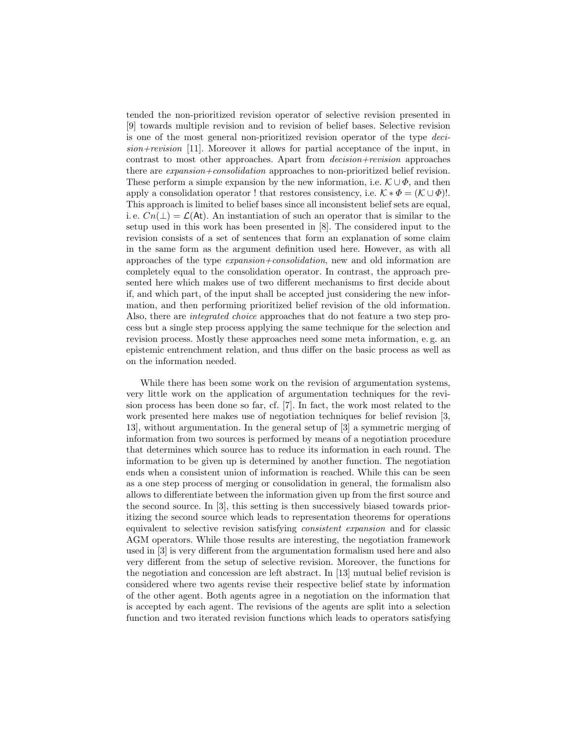tended the non-prioritized revision operator of selective revision presented in [9] towards multiple revision and to revision of belief bases. Selective revision is one of the most general non-prioritized revision operator of the type decision+revision [11]. Moreover it allows for partial acceptance of the input, in contrast to most other approaches. Apart from *decision+revision* approaches there are *expansion+consolidation* approaches to non-prioritized belief revision. These perform a simple expansion by the new information, i.e.  $\mathcal{K} \cup \Phi$ , and then apply a consolidation operator ! that restores consistency, i.e.  $\mathcal{K} * \Phi = (\mathcal{K} \cup \Phi)!$ . This approach is limited to belief bases since all inconsistent belief sets are equal, i.e.  $Cn(\perp) = \mathcal{L}(A t)$ . An instantiation of such an operator that is similar to the setup used in this work has been presented in [8]. The considered input to the revision consists of a set of sentences that form an explanation of some claim in the same form as the argument definition used here. However, as with all approaches of the type expansion+consolidation, new and old information are completely equal to the consolidation operator. In contrast, the approach presented here which makes use of two different mechanisms to first decide about if, and which part, of the input shall be accepted just considering the new information, and then performing prioritized belief revision of the old information. Also, there are integrated choice approaches that do not feature a two step process but a single step process applying the same technique for the selection and revision process. Mostly these approaches need some meta information, e. g. an epistemic entrenchment relation, and thus differ on the basic process as well as on the information needed.

While there has been some work on the revision of argumentation systems, very little work on the application of argumentation techniques for the revision process has been done so far, cf. [7]. In fact, the work most related to the work presented here makes use of negotiation techniques for belief revision [3, 13], without argumentation. In the general setup of [3] a symmetric merging of information from two sources is performed by means of a negotiation procedure that determines which source has to reduce its information in each round. The information to be given up is determined by another function. The negotiation ends when a consistent union of information is reached. While this can be seen as a one step process of merging or consolidation in general, the formalism also allows to differentiate between the information given up from the first source and the second source. In [3], this setting is then successively biased towards prioritizing the second source which leads to representation theorems for operations equivalent to selective revision satisfying consistent expansion and for classic AGM operators. While those results are interesting, the negotiation framework used in [3] is very different from the argumentation formalism used here and also very different from the setup of selective revision. Moreover, the functions for the negotiation and concession are left abstract. In [13] mutual belief revision is considered where two agents revise their respective belief state by information of the other agent. Both agents agree in a negotiation on the information that is accepted by each agent. The revisions of the agents are split into a selection function and two iterated revision functions which leads to operators satisfying